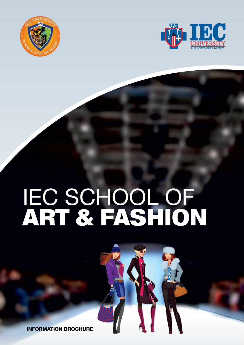



# IEC SCHOOL OF ART & FASHION

information brochure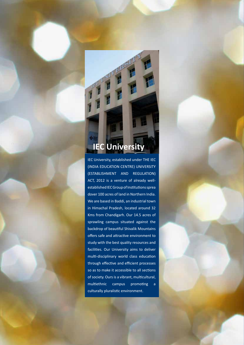# **IEC University**

IEC University, established under THE IEC (INDIA EDUCATION CENTRE) UNIVERSITY (ESTABLISHMENT AND REGULATION) ACT, 2012 is a venture of already wellestablished IEC Group of Institutions sprea dover 100 acres of land in Northern India. We are based in Baddi, an industrial town in Himachal Pradesh, located around 32 Kms from Chandigarh. Our 14.5 acres of sprawling campus situated against the backdrop of beautiful Shivalik Mountains offers safe and attractive environment to study with the best quality resources and facilities. Our University aims to deliver multi-disciplinary world class education through effective and efficient processes so as to make it accessible to all sections of society. Ours is a vibrant, multicultural, multiethnic campus promoting a culturally pluralistic environment.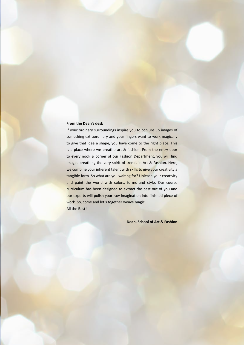#### **From the Dean's desk**

If your ordinary surroundings inspire you to conjure up images of something extraordinary and your fingers want to work magically to give that idea a shape, you have come to the right place. This is a place where we breathe art & fashion. From the entry door to every nook & corner of our Fashion Department, you will find images breathing the very spirit of trends in Art & Fashion. Here, we combine your inherent talent with skills to give your creativity a tangible form. So what are you waiting for? Unleash your creativity and paint the world with colors, forms and style. Our course curriculum has been designed to extract the best out of you and our experts will polish your raw imagination into finished piece of work. So, come and let's together weave magic. All the Best!

**Dean, School of Art & Fashion**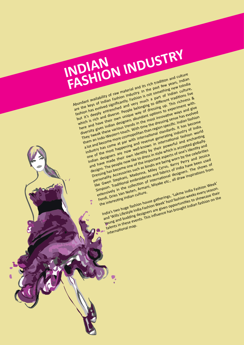**INDIAN FASHION INDUSTRY** Abundant availability of raw material and its rich tradition and culture

Abundant availability of raw material and its rich tradition and culture<br>Abundant availability of raw material and its rich tradition hew tolndian<br>are the keys of Indian Fashion Industry. In the past few years, Indian are the keys of Indian Fashion Industry. In the past few years, Indian<br>are the keys of Indian Fashion Industry. In the past few years, Indian<br>fashion has evolved significantly. Fashion is not something discussion but it's deeply entrenched and very much a part of Indian culture, but it's deeply entrenched and very much a part of indian culture,<br>but it's deeply entrenched and very much a battlerent traditions live<br>which is rich and diverse. People belonging to different traditions live which is field and owerse, heopie belonging to different traditions live nere and nave their own unique way or gressing up. Inis richness & diversity gives indian designers abundant options to experiment with the most innovative ways and give<br>diversity gives indian designers abundant options in ovalize ways and give<br>they tweak these various trends in the most them an Indo-Western touch. With time the dressing sense has evolved them an Indo-Western touch. With time the dressing sense has evolved them an indo-western touch. With time the dressing sense has evolved<br>a lot and become more cosmopolitan than region specific. Indian fashion a lot and become more cosmopolitan than region specific. Indian tashion<br>a lot and become more cosmopolitan thermational standards. It has become<br>industry has come at par with international standards. It is also Industry has come at par with International Standards. It has become industry of India.<br>Industry has come at par with International standards, it has become<br>one of the most happening and revenue in international faction wo one of the most happening and revenue generating industry of india. Indian designers are now well-known in international rashion world<br>and have made their own identity by their powerful and enchanting<br>and have made their own identity by their contribution is control dentury and nave made their own identity by their powerful and enchanting<br>and nave made their own identity by their which is accepted globally.<br>designs. The people now like to dress in style which is accepted globally. designs. The people now like to dress in style which is accepted globally, and<br>designs. The people now like to dress in style which one's identity and<br>Dressing has become one of the binding residential prior in the colonis pressing has become one of the important aspects of one's identity and<br>personality. Accessories such as bindis are being worn by the celebrities<br>personality. Accessories such as bindis come worn. Personality. personality. Accessories such as pingls are peing worn by the celebrities is used to the celebration of the celebration of the stephani, Madonna, Miley Cyrus, Kerry Perry and beginning IIKE GWEN Stephani, Wagonna, Willey Cyrus, Kerry Perry and Jessica<br>Like Gwen Stephani, Wagonna, Willey Cyrus, Kerry Perry and Been used<br>Simpson, Traditional embroideries and fabrics of India have been used SIMPSON. Iraditional emprojection of international designers. The shows of

extensively in the collection of international designers. The snows of<br>extensively in the collection of international all draw inspirations from the interesting Indian culture. India's two huge fashion house gatherings, 'Lakme India Fashion Week' India's two nuge fashion nouse gatherings, Lakme India Fashion weeks<br>and 'Wills Lifestyle India Fashion Week' host fashion weeks every season. and 'Wills Lifestyle India Fashion Week, host fashion weeks every season.<br>and 'Wills Lifestyle India Fashion Week, host fashion to showcase their<br>Young and budding designers are given opportunities to showcase their Young and budding designers are given opportunities to showcase their<br>talents in these events. This influence has brought Indian fashion on the<br>talents in these events. This influence has brought Indian fashion on the

international map.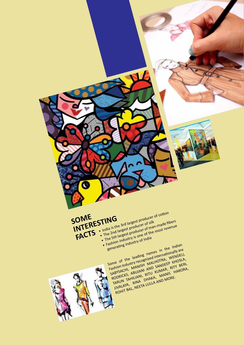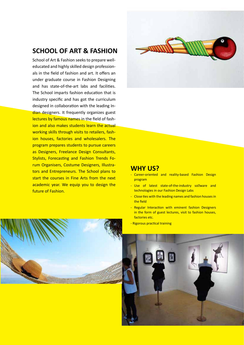## **SCHOOL OF ART & FASHION**

School of Art & Fashion seeks to prepare welleducated and highly skilled design professionals in the field of fashion and art. It offers an under graduate course in Fashion Designing and has state-of-the-art labs and facilities. The School imparts fashion education that is industry specific and has got the curriculum designed in collaboration with the leading Indian designers. It frequently organizes guest lectures by famous names in the field of fashion and also makes students learn the actual working skills through visits to retailers, fashion houses, factories and wholesalers. The program prepares students to pursue careers as Designers, Freelance Design Consultants, Stylists, Forecasting and Fashion Trends Forum Organisers, Costume Designers, Illustrators and Entrepreneurs. The School plans to start the courses in Fine Arts from the next academic year. We equip you to design the future of Fashion.



#### **WHY US?**

- Career-oriented and reality-based Fashion Design program
- Use of latest state-of-the-industry so**n** ware and technologies in our Fashion Design Labs
- Close ties with the leading names and fashion houses in the field
- Regular Interaction with eminent fashion Designers in the form of guest lectures, visit to fashion houses, factories etc.
- Rigorous practical training



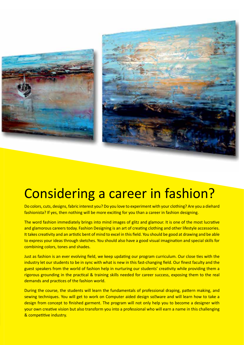



# Considering a career in fashion?

Do colors, cuts, designs, fabric interest you? Do you love to experiment with your clothing? Are you a diehard fashionista? If yes, then nothing will be more exciting for you than a career in fashion designing.

The word fashion immediately brings into mind images of glitz and glamour. It is one of the most lucrative and glamorous careers today. Fashion Designing is an art of creating clothing and other lifestyle accessories. It takes creativity and an artistic bent of mind to excel in this field. You should be good at drawing and be able to express your ideas through sketches. You should also have a good visual imagination and special skills for combining colors, tones and shades.

Just as fashion is an ever evolving field, we keep updating our program curriculum. Our close ties with the industry let our students to be in sync with what is new in this fast-changing field. Our finest faculty and the guest speakers from the world of fashion help in nurturing our students' creativity while providing them a rigorous grounding in the practical & training skills needed for career success, exposing them to the real demands and practices of the fashion world.

During the course, the students will learn the fundamentals of professional draping, pattern making, and sewing techniques. You will get to work on Computer aided design so lware and will learn how to take a design from concept to finished garment. The program will not only help you to become a designer with your own creative vision but also transform you into a professional who will earn a name in this challenging & competitive industry.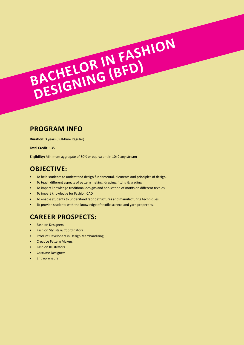**Duration:** 3 years (Full-time Regular)

**Total Credit:** 135

**Eligibility:** Minimum aggregate of 50% or equivalent in 10+2 any stream

# **Objective:**

• To help students to understand design fundamental, elements and principles of design.

**BACHELOR IN FASHION** 

**Designing (BFD)**

- To teach different aspects of pattern making, draping, fitting & grading
- To impart knowledge traditional designs and application of motifs on different textiles.
- To impart knowledge for Fashion CAD
- To enable students to understand fabric structures and manufacturing techniques
- To provide students with the knowledge of textile science and yarn properties.

# **Career Prospects:**

- Fashion Designers
- Fashion Stylists & Coordinators
- Product Developers in Design Merchandising
- Creative Pattern Makers
- Fashion Illustrators
- Costume Designers
- Entrepreneurs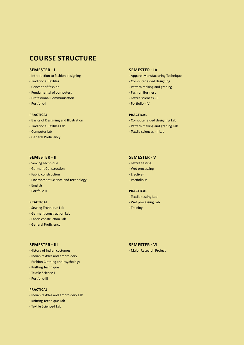#### **Semester - I**

- Introduction to fashion designing
- Traditional Textiles
- Concept of fashion
- Fundamental of computers
- Professional Communication
- Portfolio-I

#### **Practical**

- Basics of Designing and Illustration
- Traditional Textiles Lab
- Computer lab
- General Proficiency

#### **Semester - II**

- Sewing Technique
- Garment Construction
- Fabric construction
- Environment Science and technology
- English
- Portfolio-II

#### **Practical**

- Sewing Technique Lab
- Garment construction Lab
- Fabric construction Lab
- General Proficiency

#### **Semester - IV**

- Apparel Manufacturing Technique
- Computer aided designing
- Pattern making and grading
- Fashion Business
- Textile sciences II
- Portfolio IV

#### **Practical**

- Computer aided designing Lab
- Pattern making and grading Lab
- Textile sciences II Lab

#### **Semester - V**

- Textile testing
- Wet processing
- Elective-I
- Portfolio-V

#### **Practical**

- Textile testing Lab
- Wet processing Lab
- Training

#### **Semester - III**

- -History of Indian costumes
- Indian textiles and embroidery
- Fashion Clothing and psychology
- Knitting Technique
- Textile Science-I
- Portfolio-III

#### **Practical**

- Indian textiles and embroidery Lab
- Knitting Technique Lab
- Textile Science-I Lab

#### **Semester - VI**

- Major Research Project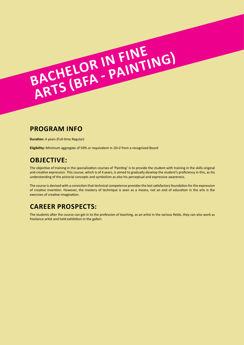**Duration:** 4 years (Full-time Regular)

**Eligibility:** Minimum aggregate of 50% or requivalent in 10+2 from a recognized Board

**BACHELOR IN FINE** 

**ACHELOR IN FINE** 

## **Objective:**

The objective of training in the specialization courses of 'Painting' is to provide the student with training in the skills original and creative expression. This course, which is of 4 years, is aimed to gradually develop the student's proficiency in this, as his understanding of the pictorial concepts and symbolism as also his perceptual and expressive awareness.

The course is devised with a conviction that technical competence provides the lost satisfactory foundation for the expression of creative invention. However, the mastery of technique is seen as a means, not an end of education in the arts is the exercises of creative imagination.

# **Career Prospects:**

The students after the course can get in to the profession of teaching, as an artist in the various fields, they can also work as freelance artist and held exhibition in the galleri.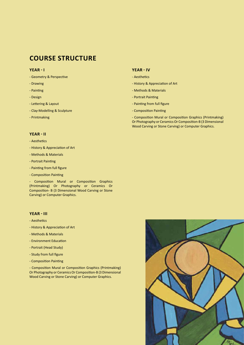#### **Year - I**

- Geometry & Perspective
- Drawing
- Painting
- Design
- Lettering & Layout
- Clay-Modelling & Sculpture
- Printmaking

#### **Year - II**

- Aesthetics
- History & Appreciation of Art
- Methods & Materials
- Portrait Painting
- Painting from full figure
- Composition Painting

- Composition Mural or Composition Graphics (Printmaking) Or Photography or Ceramics Or Composition- B (3 Dimensional Wood Carving or Stone Carving) or Computer Graphics.

#### **Year - III**

- Aesthetics
- History & Appreciation of Art
- Methods & Materials
- Environment Education
- Portrait (Head Study)
- Study from full figure
- Composition Painting

- Composition Mural or Composition Graphics (Printmaking) Or Photography or Ceramics Or Composition-B (3 Dimensional Wood Carving or Stone Carving) or Computer Graphics.

#### **Year - IV**

- Aesthetics
- History & Appreciation of Art
- Methods & Materials
- Portrait Painting
- Painting from full figure
- Composition Painting

- Composition Mural or Composition Graphics (Printmaking) Or Photography or Ceramics Or Composition-B (3 Dimensional Wood Carving or Stone Carving) or Computer Graphics.

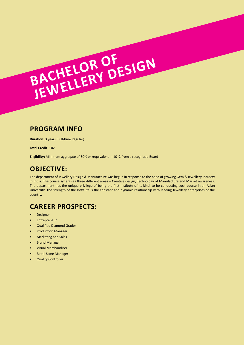**Bachelor Of**

**Duration:** 3 years (Full-time Regular)

**Total Credit:** 102

**Eligibility:** Minimum aggregate of 50% or requivalent in 10+2 from a recognized Board

**Jewellery Design**

# **Objective:**

The department of Jewellery Design & Manufacture was begun in response to the need of growing Gem & Jewellery Industry in India. The course synergises three different areas – Creative design, Technology of Manufacture and Market awareness. The department has the unique privilege of being the first Institute of its kind, to be conducting such course in an Asian University. The strength of the Institute is the constant and dynamic relationship with leading Jewellery enterprises of the country.

# **Career Prospects:**

- Designer
- **Entrepreneur**
- Qualified Diamond Grader
- Production Manager
- Marketing and Sales
- Brand Manager
- Visual Merchandiser
- Retail Store Manager
- **Quality Controller**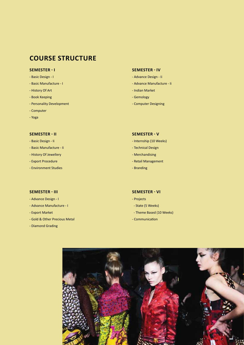#### **Semester - I**

- Basic Design I
- Basic Manufacture I
- History Of Art
- Book Keeping
- Personality Development
- Computer
- Yoga

#### **Semester - II**

- Basic Design Ii
- Basic Manufacture Ii
- History Of Jewellery
- Export Procedure
- Environment Studies

#### **Semester - IV**

- Advance Design Ii
- Advance Manufacture Ii
- Indian Market
- Gemology
- Computer Designing

#### **Semester - V**

- Internship (10 Weeks)
- Technical Design
- Merchandising
- Retail Management
- Branding

#### **Semester - III**

- Advance Design I
- Advance Manufacture I
- Export Market
- Gold & Other Precious Metal
- Diamond Grading

#### **Semester - VI**

- Projects
- State (5 Weeks)
- Theme Based (10 Weeks)
- Communication

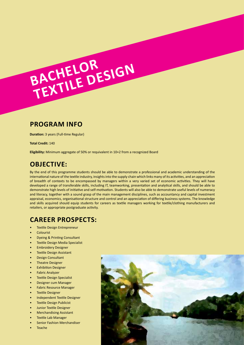**Bachelor** 

**Textile Design**

**Duration:** 3 years (Full-time Regular)

**Total Credit:** 140

**Eligibility:** Minimum aggregate of 50% or requivalent in 10+2 from a recognized Board

# **Objective:**

By the end of this programme students should be able to demonstrate a professional and academic understanding of the international nature of the textile industry, insights into the supply chain which links many of its activities, and an appreciation of breadth of contexts to be encompassed by managers within a very varied set of economic activities. They will have developed a range of transferable skills, including IT, teamworking, presentation and analytical skills, and should be able to demonstrate high levels of initiative and self-motivation. Students will also be able to demonstrate useful levels of numeracy and literacy, together with a sound grasp of the main management disciplines, such as accountancy and capital investment appraisal, economics, organisational structure and control and an appreciation of differing business systems. The knowledge and skills acquired should equip students for careers as textile managers working for textile/clothing manufacturers and retailers, or appropriate postgraduate activity.

# **Career Prospects:**

- Textile Design Entrepreneur
- Colourist
- Dyeing & Printing Consultant
- Textile Design Media Specialist
- Embroidery Designer
- **Textile Design Assistant**
- Design Consultant
- **Theatre Designer**
- **Exhibition Designer**
- Fabric Analyzer
- **Textile Design Specialist**
- Designer cum Manager
- Fabric Resource Manager
- **Textile Designer**
- Independent Textile Designer
- **Textile Design Publicist**
- Junior Textile Designer
- Merchandising Assistant
- Textile Lab Manager
- Senior Fashion Merchandiser
- Teache

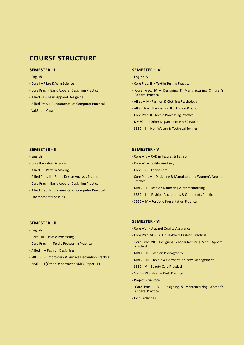#### **Semester - I**

- English I
- Core I Fibre & Yarn Science
- Core Prac. I- Basic Apparel Designing Practical
- Allied I Basic Apparel Designing
- Allied Prac. I- Fundamental of Computer Practical
- Val.Edu Yoga

#### **Semester - II**

- English II
- Core II Fabric Science
- Allied II Pattern Making
- Allied Prac. II Fabric Design Analysis Practical
- Core Prac. I- Basic Apparel Designing Practical
- Allied Prac. I- Fundamental of Computer Practical
- Environmental Studies

#### **Semester - III**

- English III
- Core III Textile Processing
- Core Prac. II Textile Processing Practical
- Allied III Fashion Designing
- SBEC I Embroidery & Surface Decoration Practical
- NMEC I (Other Department NMEC Paper –I )

#### **Semester - IV**

- English IV
- Core Prac. III Textile Testing Practical
- Core Prac. IV Designing & Manufacturing Children's Apparel Practical
- Allied IV Fashion & Clothing Psychology
- Allied Prac. III Fashion Illustration Practical
- Core Prac. II Textile Processing Practical
- NMEC II (Other Department NMEC Paper –II)
- SBEC II Non Woven & Technical Textiles

#### **Semester - V**

- Core IV CAD in Textiles & Fashion
- Core V Textile Finishing
- Core VI Fabric Care
- Core Prac. V Designing & Manufacturing Women's Apparel Practical
- MBEC I Fashion Marketing & Merchandising
- SBEC III Fashion Accessories & Ornaments Practical
- SBEC IV Portfolio Presentation Practical

#### **Semester - VI**

- Core VII Apparel Quality Assurance
- Core Prac. VI CAD in Textile & Fashion Practical
- Core Prac. VII Designing & Manufacturing Men's Apparel Practical
- MBEC II Fashion Photography
- MBEC III Textile & Garment Industry Management
- SBEC V Beauty Care Practical
- SBEC VI Needle Craft Practical
- Project Viva Voce
- Core Prac. V Designing & Manufacturing Women's Apparel Practical
- Extn. Activities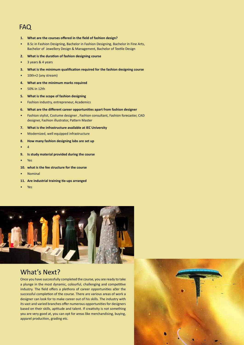# FAQ

- **1. What are the courses offered in the field of fashion design?**
- B.Sc in Fashion Designing, Bachelor in Fashion Designing, Bachelor in Fine Arts, Bachelor of Jewellery Design & Management, Bachelor of Textile Design
- **2. What is the duration of fashion designing course**
- 3 years & 4 years
- **3. What is the minimum qualification required for the fashion designing course**
- 10th+2 (any stream)
- **4. What are the minimum marks required**
- 50% in 12th
- **5. What is the scope of fashion designing**
- Fashion industry, entrepreneur, Academics
- **6. What are the different career opportunities apart from fashion designer**
- Fashion stylist, Costume designer , Fashion consultant, Fashion forecaster, CAD designer, Fashion illustrator, Pattern Master
- **7. What is the infrastructure available at IEC University**
- Modernized, well equipped infrastructure
- **8. How many fashion designing labs are set up**
- $\overline{4}$
- **9. Is study material provided during the course**
- Yes
- **10. what is the fee structure for the course**
- Nominal
- **11. Are industrial training tie-ups arranged**
- Yes



# What's Next?

Once you have successfully completed the course, you are ready to take a plunge in the most dynamic, colourful, challenging and competitive industry. The field offers a plethora of career opportunities aller the successful completion of the course. There are various areas of work a designer can look for to make career out of his skills. The industry with its vast and varied branches offer numerous opportunities for designers based on their skills, aptitude and talent. If creativity is not something you are very good at, you can opt for areas like merchandising, buying, apparel production, grading etc.

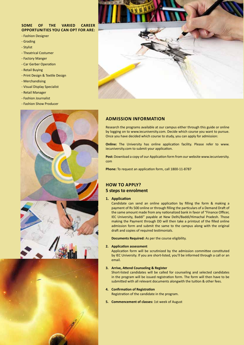#### **Some of the varied career opportunities you can opt for are:**

- Fashion Designer
- Grading
- Stylist
- Theatrical Costumer
- Factory Manger
- Car Gerber Operation
- Retail Buying
- Print Design & Textile Design
- Merchandising
- Visual Display Specialist
- Retail Manager
- Fashion Journalist
- Fashion Show Producer







#### **Admission Information**

Research the programs available at our campus either through this guide or online by logging on to www.iecuniversity.com. Decide which course you want to pursue. Once you have decided which course to study, you can apply for admission:

**Online:** The University has online application facility. Please refer to www. iecuniversity.com to submit your application.

**Post:** Download a copy of our Application form from our website www.iecuniversity. com

**Phone:** To request an application form, call 1800-11-8787

#### **How To Apply? 5 steps to enrolment**

#### **1. Application**

Candidate can send an online application by filling the form & making a payment of Rs 500 online or through filling the particulars of a Demand Draft of the same amount made from any nationalized bank in favor of "Finance Officer, IEC University, Baddi" payable at New Delhi/Baddi/Himachal Pradesh. Those making the Payment through DD will then take a printout of the filled online admission form and submit the same to the campus along with the original draft and copies of required testimonials.

**Documents Required:** As per the course eligibility.

#### **2. Application assessment**

Application form will be scrutinized by the admission committee constituted by IEC University. If you are short-listed, you'll be informed through a call or an email.

#### **3. Arrive, Attend Counseling & Register**

Short-listed candidates will be called for counseling and selected candidates in the program will be issued registration form. The form will then have to be submitted with all relevant documents alongwith the tuition & other fees.

#### **4. Confirmation of Registration**

Registration of the candidate in the program.

**5. Commencement of classes:** 1st week of August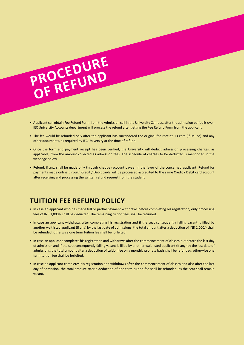# PROCEDURE **of Refund**

- Applicant can obtain Fee Refund Form from the Admission cell in the University Campus, after the admission period is over. IEC University Accounts department will process the refund after getting the Fee Refund Form from the applicant.
- The fee would be refunded only after the applicant has surrendered the original fee receipt, ID card (if issued) and any other documents, as required by IEC University at the time of refund.
- Once the form and payment receipt has been verified, the University will deduct admission processing charges, as applicable, from the amount collected as admission fees. The schedule of charges to be deducted is mentioned in the webpage below.
- Refund, if any, shall be made only through cheque (account payee) in the favor of the concerned applicant. Refund for payments made online through Credit / Debit cards will be processed & credited to the same Credit / Debit card account after receiving and processing the written refund request from the student.

# **Tuition Fee Refund Policy**

- In case an applicant who has made full or partial payment withdraws before completing his registration, only processing fees of INR 1,000/- shall be deducted. The remaining tuition fees shall be returned.
- In case an applicant withdraws after completing his registration and if the seat consequently falling vacant is filled by another waitlisted applicant (if any) by the last date of admissions, the total amount after a deduction of INR 1,000/- shall be refunded; otherwise one term tuition fee shall be forfeited.
- In case an applicant completes his registration and withdraws after the commencement of classes but before the last day of admission and if the seat consequently falling vacant is filled by another wait listed applicant (if any) by the last date of admissions, the total amount after a deduction of tuition fee on a monthly pro-rata basis shall be refunded; otherwise one term tuition fee shall be forfeited.
- In case an applicant completes his registration and withdraws after the commencement of classes and also after the last day of admission, the total amount after a deduction of one term tuition fee shall be refunded, as the seat shall remain vacant.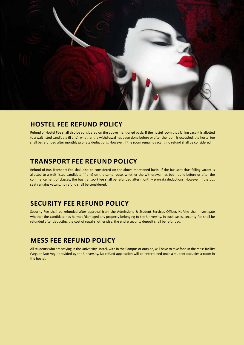

# **Hostel Fee Refund Policy**

Refund of Hostel Fee shall also be considered on the above mentioned basis. If the hostel room thus falling vacant is allotted to a wait listed candidate (if any), whether the withdrawal has been done before or after the room is occupied, the hostel fee shall be refunded after monthly pro-rata deductions. However, if the room remains vacant, no refund shall be considered.

# **Transport Fee Refund Policy**

Refund of Bus Transport Fee shall also be considered on the above mentioned basis. If the bus seat thus falling vacant is allotted to a wait listed candidate (if any) on the same route, whether the withdrawal has been done before or after the commencement of classes, the bus transport fee shall be refunded after monthly pro-rata deductions. However, if the bus seat remains vacant, no refund shall be considered.

# **Security Fee Refund Policy**

Security Fee shall be refunded after approval from the Admissions & Student Services Officer. He/she shall investigate whether the candidate has harmed/damaged any property belonging to the University. In such cases, security fee shall be refunded after deducting the cost of repairs; otherwise, the entire security deposit shall be refunded.

# **Mess Fee Refund Policy**

All students who are staying in the University Hostel, with in the Campus or outside, will have to take food in the mess facility (Veg. or Non Veg.) provided by the University. No refund application will be entertained once a student occupies a room in the hostel.